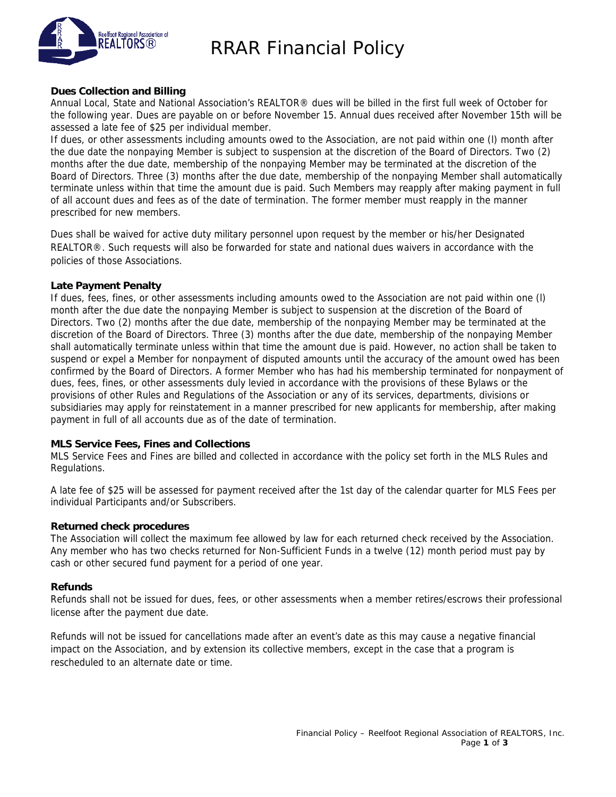

## RRAR Financial Policy

#### **Dues Collection and Billing**

Annual Local, State and National Association's REALTOR® dues will be billed in the first full week of October for the following year. Dues are payable on or before November 15. Annual dues received after November 15th will be assessed a late fee of \$25 per individual member.

If dues, or other assessments including amounts owed to the Association, are not paid within one (l) month after the due date the nonpaying Member is subject to suspension at the discretion of the Board of Directors. Two (2) months after the due date, membership of the nonpaying Member may be terminated at the discretion of the Board of Directors. Three (3) months after the due date, membership of the nonpaying Member shall automatically terminate unless within that time the amount due is paid. Such Members may reapply after making payment in full of all account dues and fees as of the date of termination. The former member must reapply in the manner prescribed for new members.

Dues shall be waived for active duty military personnel upon request by the member or his/her Designated REALTOR®. Such requests will also be forwarded for state and national dues waivers in accordance with the policies of those Associations.

#### **Late Payment Penalty**

If dues, fees, fines, or other assessments including amounts owed to the Association are not paid within one (l) month after the due date the nonpaying Member is subject to suspension at the discretion of the Board of Directors. Two (2) months after the due date, membership of the nonpaying Member may be terminated at the discretion of the Board of Directors. Three (3) months after the due date, membership of the nonpaying Member shall automatically terminate unless within that time the amount due is paid. However, no action shall be taken to suspend or expel a Member for nonpayment of disputed amounts until the accuracy of the amount owed has been confirmed by the Board of Directors. A former Member who has had his membership terminated for nonpayment of dues, fees, fines, or other assessments duly levied in accordance with the provisions of these Bylaws or the provisions of other Rules and Regulations of the Association or any of its services, departments, divisions or subsidiaries may apply for reinstatement in a manner prescribed for new applicants for membership, after making payment in full of all accounts due as of the date of termination.

#### **MLS Service Fees, Fines and Collections**

MLS Service Fees and Fines are billed and collected in accordance with the policy set forth in the MLS Rules and Regulations.

A late fee of \$25 will be assessed for payment received after the 1st day of the calendar quarter for MLS Fees per individual Participants and/or Subscribers.

#### **Returned check procedures**

The Association will collect the maximum fee allowed by law for each returned check received by the Association. Any member who has two checks returned for Non-Sufficient Funds in a twelve (12) month period must pay by cash or other secured fund payment for a period of one year.

#### **Refunds**

Refunds shall not be issued for dues, fees, or other assessments when a member retires/escrows their professional license after the payment due date.

Refunds will not be issued for cancellations made after an event's date as this may cause a negative financial impact on the Association, and by extension its collective members, except in the case that a program is rescheduled to an alternate date or time.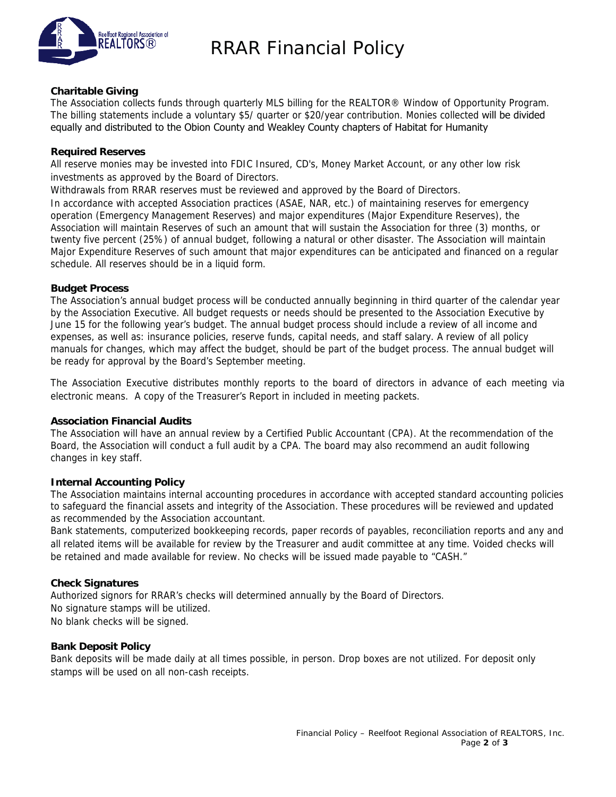

## RRAR Financial Policy

#### **Charitable Giving**

The Association collects funds through quarterly MLS billing for the REALTOR® Window of Opportunity Program. The billing statements include a voluntary \$5/ quarter or \$20/year contribution. Monies collected will be divided equally and distributed to the Obion County and Weakley County chapters of Habitat for Humanity

#### **Required Reserves**

All reserve monies may be invested into FDIC Insured, CD's, Money Market Account, or any other low risk investments as approved by the Board of Directors.

Withdrawals from RRAR reserves must be reviewed and approved by the Board of Directors.

In accordance with accepted Association practices (ASAE, NAR, etc.) of maintaining reserves for emergency operation (Emergency Management Reserves) and major expenditures (Major Expenditure Reserves), the Association will maintain Reserves of such an amount that will sustain the Association for three (3) months, or twenty five percent (25%) of annual budget, following a natural or other disaster. The Association will maintain Major Expenditure Reserves of such amount that major expenditures can be anticipated and financed on a regular schedule. All reserves should be in a liquid form.

#### **Budget Process**

The Association's annual budget process will be conducted annually beginning in third quarter of the calendar year by the Association Executive. All budget requests or needs should be presented to the Association Executive by June 15 for the following year's budget. The annual budget process should include a review of all income and expenses, as well as: insurance policies, reserve funds, capital needs, and staff salary. A review of all policy manuals for changes, which may affect the budget, should be part of the budget process. The annual budget will be ready for approval by the Board's September meeting.

The Association Executive distributes monthly reports to the board of directors in advance of each meeting via electronic means. A copy of the Treasurer's Report in included in meeting packets.

#### **Association Financial Audits**

The Association will have an annual review by a Certified Public Accountant (CPA). At the recommendation of the Board, the Association will conduct a full audit by a CPA. The board may also recommend an audit following changes in key staff.

#### **Internal Accounting Policy**

The Association maintains internal accounting procedures in accordance with accepted standard accounting policies to safeguard the financial assets and integrity of the Association. These procedures will be reviewed and updated as recommended by the Association accountant.

Bank statements, computerized bookkeeping records, paper records of payables, reconciliation reports and any and all related items will be available for review by the Treasurer and audit committee at any time. Voided checks will be retained and made available for review. No checks will be issued made payable to "CASH."

#### **Check Signatures**

Authorized signors for RRAR's checks will determined annually by the Board of Directors. No signature stamps will be utilized. No blank checks will be signed.

#### **Bank Deposit Policy**

Bank deposits will be made daily at all times possible, in person. Drop boxes are not utilized. For deposit only stamps will be used on all non-cash receipts.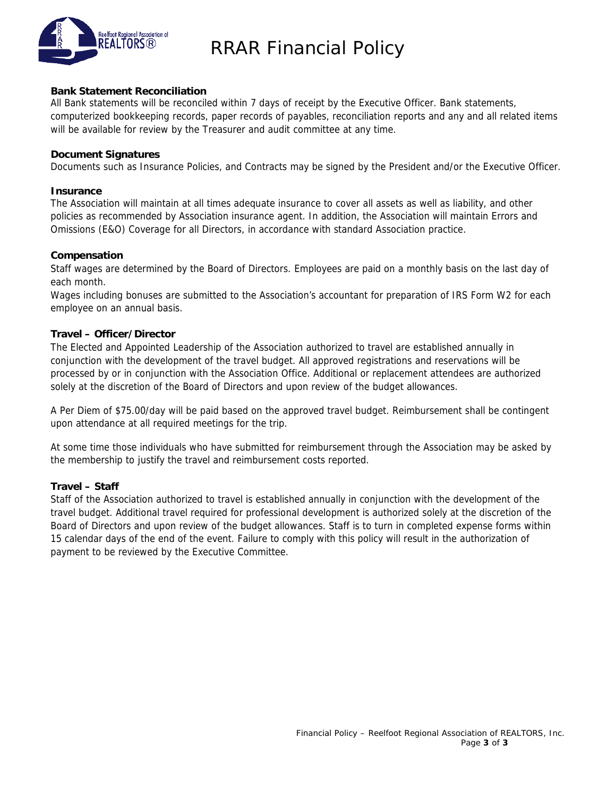

## RRAR Financial Policy

#### **Bank Statement Reconciliation**

All Bank statements will be reconciled within 7 days of receipt by the Executive Officer. Bank statements, computerized bookkeeping records, paper records of payables, reconciliation reports and any and all related items will be available for review by the Treasurer and audit committee at any time.

#### **Document Signatures**

Documents such as Insurance Policies, and Contracts may be signed by the President and/or the Executive Officer.

#### **Insurance**

The Association will maintain at all times adequate insurance to cover all assets as well as liability, and other policies as recommended by Association insurance agent. In addition, the Association will maintain Errors and Omissions (E&O) Coverage for all Directors, in accordance with standard Association practice.

#### **Compensation**

Staff wages are determined by the Board of Directors. Employees are paid on a monthly basis on the last day of each month.

Wages including bonuses are submitted to the Association's accountant for preparation of IRS Form W2 for each employee on an annual basis.

### **Travel – Officer/Director**

The Elected and Appointed Leadership of the Association authorized to travel are established annually in conjunction with the development of the travel budget. All approved registrations and reservations will be processed by or in conjunction with the Association Office. Additional or replacement attendees are authorized solely at the discretion of the Board of Directors and upon review of the budget allowances.

A Per Diem of \$75.00/day will be paid based on the approved travel budget. Reimbursement shall be contingent upon attendance at all required meetings for the trip.

At some time those individuals who have submitted for reimbursement through the Association may be asked by the membership to justify the travel and reimbursement costs reported.

### **Travel – Staff**

Staff of the Association authorized to travel is established annually in conjunction with the development of the travel budget. Additional travel required for professional development is authorized solely at the discretion of the Board of Directors and upon review of the budget allowances. Staff is to turn in completed expense forms within 15 calendar days of the end of the event. Failure to comply with this policy will result in the authorization of payment to be reviewed by the Executive Committee.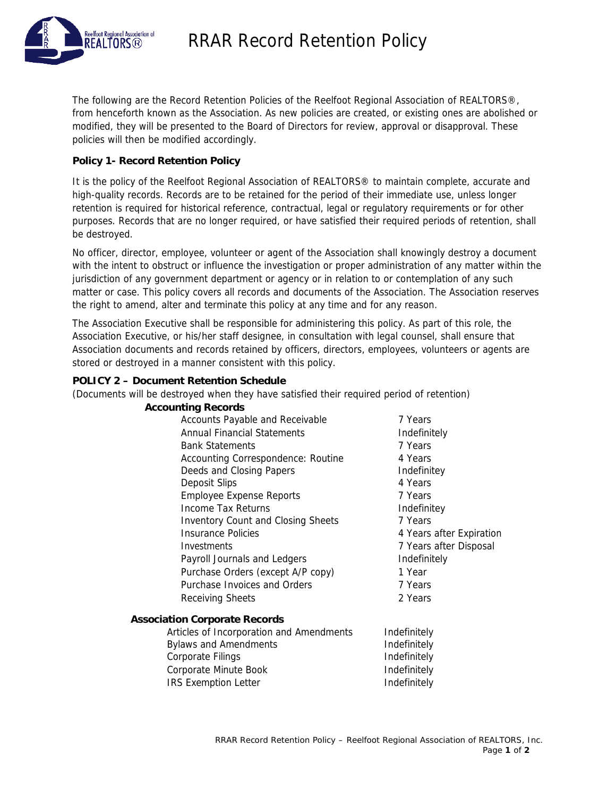



The following are the Record Retention Policies of the Reelfoot Regional Association of REALTORS®, from henceforth known as the Association. As new policies are created, or existing ones are abolished or modified, they will be presented to the Board of Directors for review, approval or disapproval. These policies will then be modified accordingly.

### **Policy 1- Record Retention Policy**

It is the policy of the Reelfoot Regional Association of REALTORS® to maintain complete, accurate and high-quality records. Records are to be retained for the period of their immediate use, unless longer retention is required for historical reference, contractual, legal or regulatory requirements or for other purposes. Records that are no longer required, or have satisfied their required periods of retention, shall be destroyed.

No officer, director, employee, volunteer or agent of the Association shall knowingly destroy a document with the intent to obstruct or influence the investigation or proper administration of any matter within the jurisdiction of any government department or agency or in relation to or contemplation of any such matter or case. This policy covers all records and documents of the Association. The Association reserves the right to amend, alter and terminate this policy at any time and for any reason.

The Association Executive shall be responsible for administering this policy. As part of this role, the Association Executive, or his/her staff designee, in consultation with legal counsel, shall ensure that Association documents and records retained by officers, directors, employees, volunteers or agents are stored or destroyed in a manner consistent with this policy.

#### **POLICY 2 – Document Retention Schedule**

(Documents will be destroyed when they have satisfied their required period of retention)

| <b>Accounting Records</b>                 |                          |
|-------------------------------------------|--------------------------|
| Accounts Payable and Receivable           | 7 Years                  |
| <b>Annual Financial Statements</b>        | Indefinitely             |
| <b>Bank Statements</b>                    | 7 Years                  |
| Accounting Correspondence: Routine        | 4 Years                  |
| Deeds and Closing Papers                  | Indefinitey              |
| Deposit Slips                             | 4 Years                  |
| <b>Employee Expense Reports</b>           | 7 Years                  |
| Income Tax Returns                        | Indefinitey              |
| <b>Inventory Count and Closing Sheets</b> | 7 Years                  |
| <b>Insurance Policies</b>                 | 4 Years after Expiration |
| Investments                               | 7 Years after Disposal   |
| Payroll Journals and Ledgers              | Indefinitely             |
| Purchase Orders (except A/P copy)         | 1 Year                   |
| Purchase Invoices and Orders              | 7 Years                  |
| Receiving Sheets                          | 2 Years                  |
| <b>Association Corporate Records</b>      |                          |
| Articles of Incorporation and Amendments  | Indefinitely             |
| <b>Bylaws and Amendments</b>              | Indefinitely             |
| <b>Corporate Filings</b>                  | Indefinitely             |
| Corporate Minute Book                     | Indefinitely             |
| <b>IRS Exemption Letter</b>               | Indefinitely             |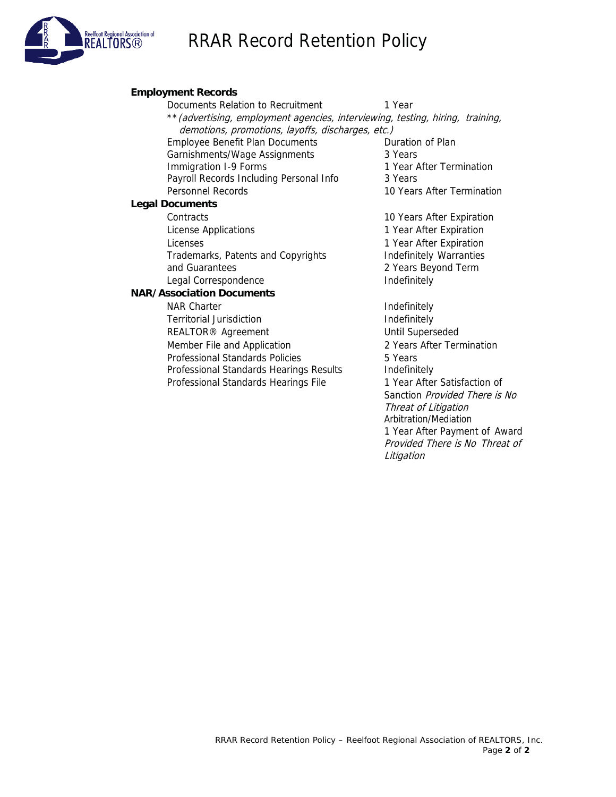## RRAR Record Retention Policy



### **Employment Records** Documents Relation to Recruitment 1 Year \*\*(advertising, employment agencies, interviewing, testing, hiring, training, demotions, promotions, layoffs, discharges, etc.) Employee Benefit Plan Documents **Duration of Plan** Garnishments/Wage Assignments 3 Years Immigration I-9 Forms 1 Year After Termination Payroll Records Including Personal Info 3 Years Personnel Records 10 Years After Termination **Legal Documents** Contracts 10 Years After Expiration License Applications **1** Year After Expiration Licenses 1 Year After Expiration Trademarks, Patents and Copyrights **Indefinitely Warranties** and Guarantees 2 Years Beyond Term Legal Correspondence **Indefinitely NAR/Association Documents** NAR Charter **Indefinitely** Territorial Jurisdiction **Indefinitely** REALTOR<sup>®</sup> Agreement Until Superseded Member File and Application 2 Years After Termination Professional Standards Policies 5 Years Professional Standards Hearings Results Indefinitely

Professional Standards Hearings File 1 Year After Satisfaction of

Sanction Provided There is No

1 Year After Payment of Award Provided There is No Threat of

Threat of Litigation Arbitration/Mediation

Litigation

RRAR Record Retention Policy – Reelfoot Regional Association of REALTORS, Inc.

Page **2** of **2**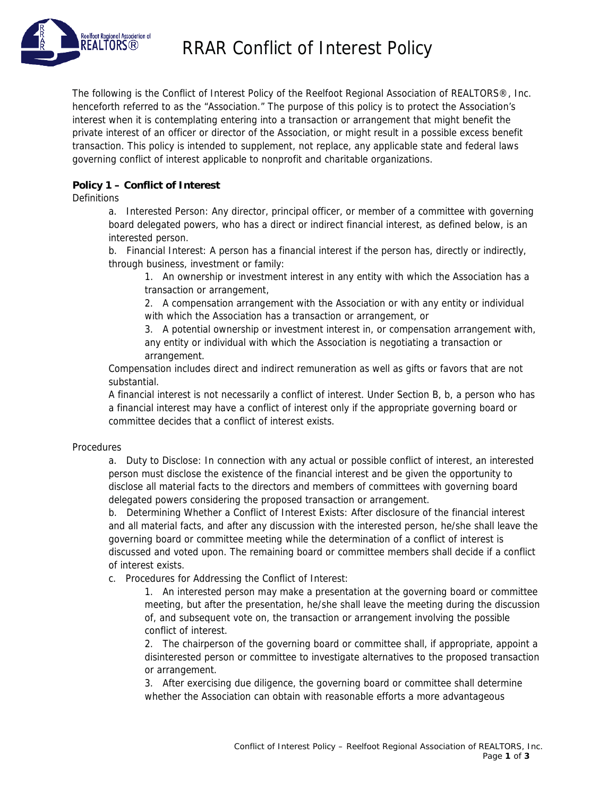

RRAR Conflict of Interest Policy

The following is the Conflict of Interest Policy of the Reelfoot Regional Association of REALTORS®, Inc. henceforth referred to as the "Association." The purpose of this policy is to protect the Association's interest when it is contemplating entering into a transaction or arrangement that might benefit the private interest of an officer or director of the Association, or might result in a possible excess benefit transaction. This policy is intended to supplement, not replace, any applicable state and federal laws governing conflict of interest applicable to nonprofit and charitable organizations.

### **Policy 1 – Conflict of Interest**

**Definitions** 

a. Interested Person: Any director, principal officer, or member of a committee with governing board delegated powers, who has a direct or indirect financial interest, as defined below, is an interested person.

b. Financial Interest: A person has a financial interest if the person has, directly or indirectly, through business, investment or family:

1. An ownership or investment interest in any entity with which the Association has a transaction or arrangement,

2. A compensation arrangement with the Association or with any entity or individual with which the Association has a transaction or arrangement, or

3. A potential ownership or investment interest in, or compensation arrangement with, any entity or individual with which the Association is negotiating a transaction or arrangement.

Compensation includes direct and indirect remuneration as well as gifts or favors that are not substantial.

A financial interest is not necessarily a conflict of interest. Under Section B, b, a person who has a financial interest may have a conflict of interest only if the appropriate governing board or committee decides that a conflict of interest exists.

#### **Procedures**

a. Duty to Disclose: In connection with any actual or possible conflict of interest, an interested person must disclose the existence of the financial interest and be given the opportunity to disclose all material facts to the directors and members of committees with governing board delegated powers considering the proposed transaction or arrangement.

b. Determining Whether a Conflict of Interest Exists: After disclosure of the financial interest and all material facts, and after any discussion with the interested person, he/she shall leave the governing board or committee meeting while the determination of a conflict of interest is discussed and voted upon. The remaining board or committee members shall decide if a conflict of interest exists.

c. Procedures for Addressing the Conflict of Interest:

1. An interested person may make a presentation at the governing board or committee meeting, but after the presentation, he/she shall leave the meeting during the discussion of, and subsequent vote on, the transaction or arrangement involving the possible conflict of interest.

2. The chairperson of the governing board or committee shall, if appropriate, appoint a disinterested person or committee to investigate alternatives to the proposed transaction or arrangement.

3. After exercising due diligence, the governing board or committee shall determine whether the Association can obtain with reasonable efforts a more advantageous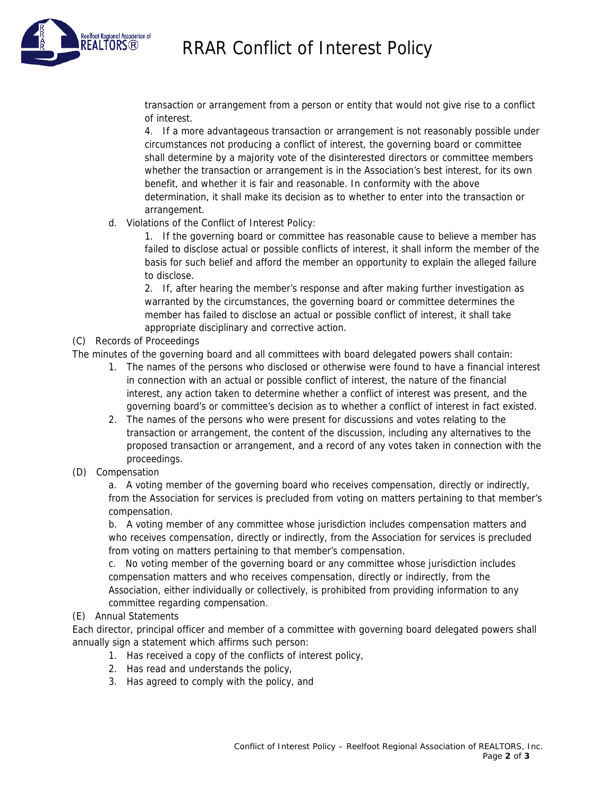# RRAR Conflict of Interest Policy



transaction or arrangement from a person or entity that would not give rise to a conflict of interest.

4. If a more advantageous transaction or arrangement is not reasonably possible under circumstances not producing a conflict of interest, the governing board or committee shall determine by a majority vote of the disinterested directors or committee members whether the transaction or arrangement is in the Association's best interest, for its own benefit, and whether it is fair and reasonable. In conformity with the above determination, it shall make its decision as to whether to enter into the transaction or arrangement.

d. Violations of the Conflict of Interest Policy:

1. If the governing board or committee has reasonable cause to believe a member has failed to disclose actual or possible conflicts of interest, it shall inform the member of the basis for such belief and afford the member an opportunity to explain the alleged failure to disclose.

2. If, after hearing the member's response and after making further investigation as warranted by the circumstances, the governing board or committee determines the member has failed to disclose an actual or possible conflict of interest, it shall take appropriate disciplinary and corrective action.

## (C) Records of Proceedings

The minutes of the governing board and all committees with board delegated powers shall contain:

- 1. The names of the persons who disclosed or otherwise were found to have a financial interest in connection with an actual or possible conflict of interest, the nature of the financial interest, any action taken to determine whether a conflict of interest was present, and the governing board's or committee's decision as to whether a conflict of interest in fact existed.
- 2. The names of the persons who were present for discussions and votes relating to the transaction or arrangement, the content of the discussion, including any alternatives to the proposed transaction or arrangement, and a record of any votes taken in connection with the proceedings.
- (D) Compensation

a. A voting member of the governing board who receives compensation, directly or indirectly, from the Association for services is precluded from voting on matters pertaining to that member's compensation.

b. A voting member of any committee whose jurisdiction includes compensation matters and who receives compensation, directly or indirectly, from the Association for services is precluded from voting on matters pertaining to that member's compensation.

c. No voting member of the governing board or any committee whose jurisdiction includes compensation matters and who receives compensation, directly or indirectly, from the Association, either individually or collectively, is prohibited from providing information to any committee regarding compensation.

## (E) Annual Statements

Each director, principal officer and member of a committee with governing board delegated powers shall annually sign a statement which affirms such person:

- 1. Has received a copy of the conflicts of interest policy,
- 2. Has read and understands the policy,
- 3. Has agreed to comply with the policy, and